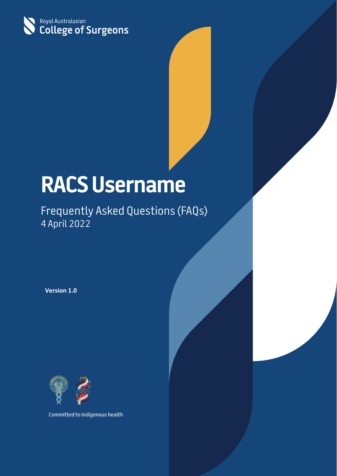

# **RACS Username**

## Frequently Asked Questions (FAQs) 4 April 2022

**Version 1.0**



Committed to Indigenous health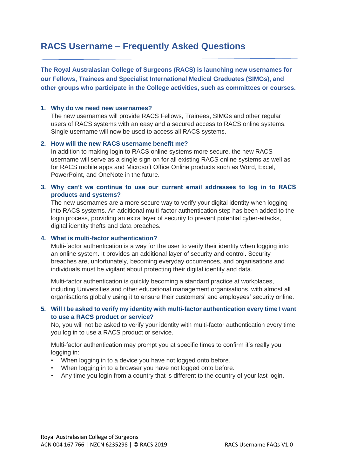### **RACS Username – Frequently Asked Questions**

**The Royal Australasian College of Surgeons (RACS) is launching new usernames for our Fellows, Trainees and Specialist International Medical Graduates (SIMGs), and other groups who participate in the College activities, such as committees or courses.**

#### **1. Why do we need new usernames?**

The new usernames will provide RACS Fellows, Trainees, SIMGs and other regular users of RACS systems with an easy and a secured access to RACS online systems. Single username will now be used to access all RACS systems.

#### **2. How will the new RACS username benefit me?**

In addition to making login to RACS online systems more secure, the new RACS username will serve as a single sign-on for all existing RACS online systems as well as for RACS mobile apps and Microsoft Office Online products such as Word, Excel, PowerPoint, and OneNote in the future.

#### **3. Why can't we continue to use our current email addresses to log in to RACS products and systems?**

The new usernames are a more secure way to verify your digital identity when logging into RACS systems. An additional multi-factor authentication step has been added to the login process, providing an extra layer of security to prevent potential cyber-attacks, digital identity thefts and data breaches.

#### **4. What is multi-factor authentication?**

Multi-factor authentication is a way for the user to verify their identity when logging into an online system. It provides an additional layer of security and control. Security breaches are, unfortunately, becoming everyday occurrences, and organisations and individuals must be vigilant about protecting their digital identity and data.

Multi-factor authentication is quickly becoming a standard practice at workplaces, including Universities and other educational management organisations, with almost all organisations globally using it to ensure their customers' and employees' security online.

#### **5. Will I be asked to verify my identity with multi-factor authentication every time I want to use a RACS product or service?**

No, you will not be asked to verify your identity with multi-factor authentication every time you log in to use a RACS product or service.

Multi-factor authentication may prompt you at specific times to confirm it's really you logging in:

- When logging in to a device you have not logged onto before.
- When logging in to a browser you have not logged onto before.
- Any time you login from a country that is different to the country of your last login.